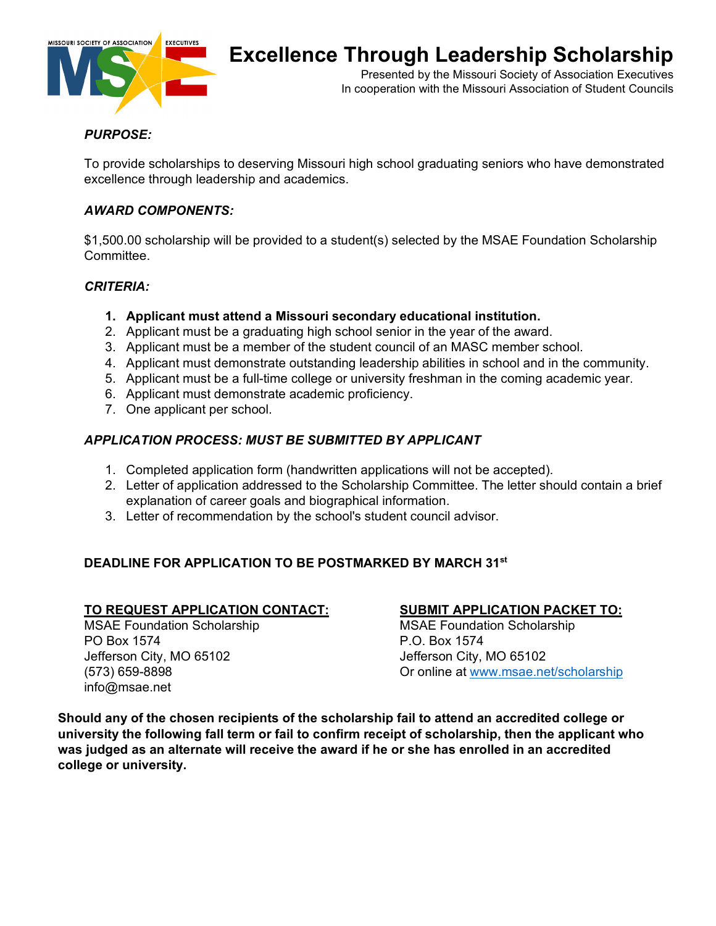

## **Excellence Through Leadership Scholarship**

Presented by the Missouri Society of Association Executives In cooperation with the Missouri Association of Student Councils

#### *PURPOSE:*

To provide scholarships to deserving Missouri high school graduating seniors who have demonstrated excellence through leadership and academics.

#### *AWARD COMPONENTS:*

\$1,500.00 scholarship will be provided to a student(s) selected by the MSAE Foundation Scholarship Committee.

#### *CRITERIA:*

- **1. Applicant must attend a Missouri secondary educational institution.**
- 2. Applicant must be a graduating high school senior in the year of the award.
- 3. Applicant must be a member of the student council of an MASC member school.
- 4. Applicant must demonstrate outstanding leadership abilities in school and in the community.
- 5. Applicant must be a full-time college or university freshman in the coming academic year.
- 6. Applicant must demonstrate academic proficiency.
- 7. One applicant per school.

#### *APPLICATION PROCESS: MUST BE SUBMITTED BY APPLICANT*

- 1. Completed application form (handwritten applications will not be accepted).
- 2. Letter of application addressed to the Scholarship Committee. The letter should contain a brief explanation of career goals and biographical information.
- 3. Letter of recommendation by the school's student council advisor.

#### **DEADLINE FOR APPLICATION TO BE POSTMARKED BY MARCH 31st**

#### **TO REQUEST APPLICATION CONTACT:**

MSAE Foundation Scholarship PO Box 1574 Jefferson City, MO 65102 (573) 659-8898 info@msae.net

#### **SUBMIT APPLICATION PACKET TO:**

MSAE Foundation Scholarship P.O. Box 1574 Jefferson City, MO 65102 Or online at [www.msae.net/scholarship](http://www.msae.net/scholarship)

**Should any of the chosen recipients of the scholarship fail to attend an accredited college or university the following fall term or fail to confirm receipt of scholarship, then the applicant who was judged as an alternate will receive the award if he or she has enrolled in an accredited college or university.**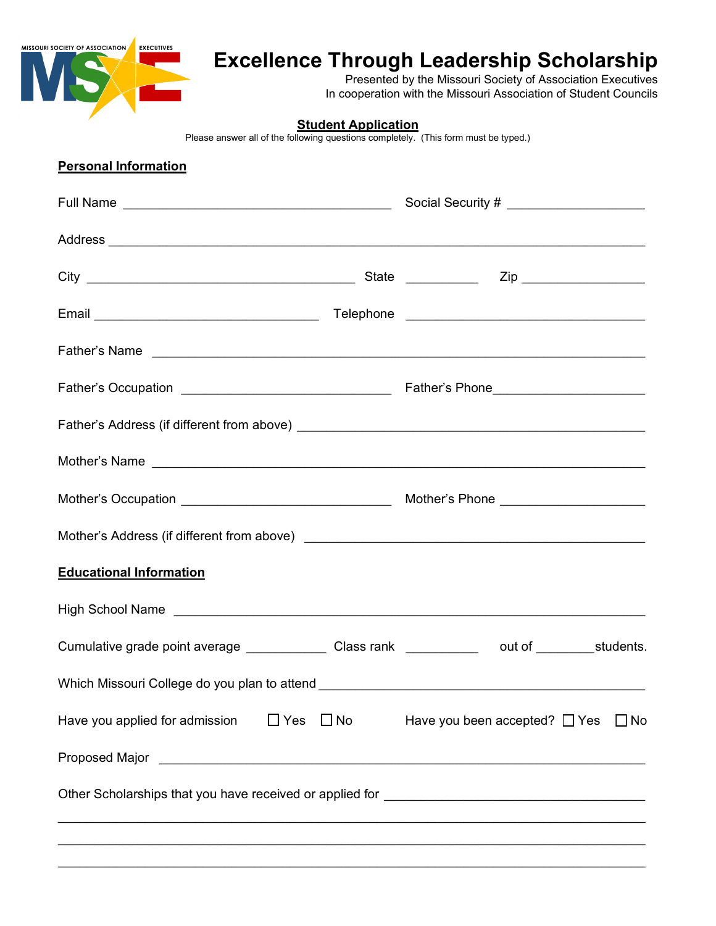# **Excellence Through Leadership Scholarship**

Presented by the Missouri Society of Association Executives In cooperation with the Missouri Association of Student Councils

#### **Student Application**

Please answer all of the following questions completely. (This form must be typed.)

### **Personal Information**

 $\overline{1}$ 

|                                                                                                                                                                                                                                      |           | Social Security # _______________________                                                                                                       |  |
|--------------------------------------------------------------------------------------------------------------------------------------------------------------------------------------------------------------------------------------|-----------|-------------------------------------------------------------------------------------------------------------------------------------------------|--|
|                                                                                                                                                                                                                                      |           |                                                                                                                                                 |  |
|                                                                                                                                                                                                                                      |           |                                                                                                                                                 |  |
|                                                                                                                                                                                                                                      |           |                                                                                                                                                 |  |
| Father's Name <u>experience and the set of the set of the set of the set of the set of the set of the set of the set of the set of the set of the set of the set of the set of the set of the set of the set of the set of the s</u> |           |                                                                                                                                                 |  |
|                                                                                                                                                                                                                                      |           |                                                                                                                                                 |  |
|                                                                                                                                                                                                                                      |           |                                                                                                                                                 |  |
| Mother's Name experience and the set of the set of the set of the set of the set of the set of the set of the set of the set of the set of the set of the set of the set of the set of the set of the set of the set of the se       |           |                                                                                                                                                 |  |
|                                                                                                                                                                                                                                      |           |                                                                                                                                                 |  |
|                                                                                                                                                                                                                                      |           |                                                                                                                                                 |  |
| <b>Educational Information</b>                                                                                                                                                                                                       |           |                                                                                                                                                 |  |
|                                                                                                                                                                                                                                      |           |                                                                                                                                                 |  |
| Cumulative grade point average ______________Class rank ______________ out of _________students.                                                                                                                                     |           |                                                                                                                                                 |  |
| Which Missouri College do you plan to attend ___________________________________                                                                                                                                                     |           |                                                                                                                                                 |  |
| Have you applied for admission<br>$\Box$ Yes                                                                                                                                                                                         | $\Box$ No | Have you been accepted? $\Box$ Yes $\Box$ No                                                                                                    |  |
|                                                                                                                                                                                                                                      |           |                                                                                                                                                 |  |
|                                                                                                                                                                                                                                      |           |                                                                                                                                                 |  |
|                                                                                                                                                                                                                                      |           | <u> 1989 - Johann Stoff, amerikansk politiker (d. 1989)</u><br>,我们也不会有什么。""我们的人,我们也不会有什么?""我们的人,我们也不会有什么?""我们的人,我们也不会有什么?""我们的人,我们也不会有什么?""我们的人 |  |
|                                                                                                                                                                                                                                      |           | <u> 1989 - Jan Barnett, fransk politik (d. 1989)</u>                                                                                            |  |